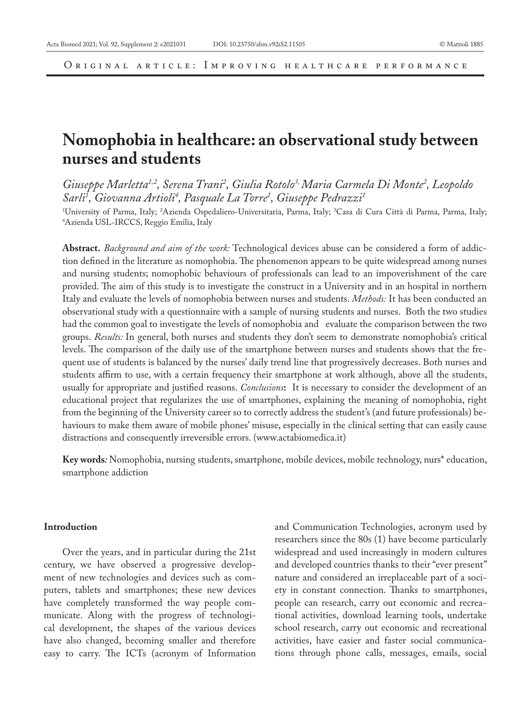Original article: Improving healthcare performance

# **Nomophobia in healthcare: an observational study between nurses and students**

Giuseppe Marletta<sup>1,2</sup>, Serena Trani<sup>2</sup>, Giulia Rotolo<sup>3,</sup> Maria Carmela Di Monte<sup>2</sup>, Leopoldo *Sarli1 , Giovanna Artioli4 , Pasquale La Torre1 , Giuseppe Pedrazzi1*

'University of Parma, Italy; <sup>2</sup>Azienda Ospedaliero-Universitaria, Parma, Italy; <sup>3</sup>Casa di Cura Città di Parma, Parma, Italy;<br><sup>4</sup>Azienda USI -IRCCS Reggio Emilia Italy Azienda USL-IRCCS, Reggio Emilia, Italy

**Abstract.** *Background and aim of the work:* Technological devices abuse can be considered a form of addiction defined in the literature as nomophobia. The phenomenon appears to be quite widespread among nurses and nursing students; nomophobic behaviours of professionals can lead to an impoverishment of the care provided. The aim of this study is to investigate the construct in a University and in an hospital in northern Italy and evaluate the levels of nomophobia between nurses and students. *Methods:* It has been conducted an observational study with a questionnaire with a sample of nursing students and nurses. Both the two studies had the common goal to investigate the levels of nomophobia and evaluate the comparison between the two groups. *Results:* In general, both nurses and students they don't seem to demonstrate nomophobia's critical levels. The comparison of the daily use of the smartphone between nurses and students shows that the frequent use of students is balanced by the nurses' daily trend line that progressively decreases. Both nurses and students affirm to use, with a certain frequency their smartphone at work although, above all the students, usually for appropriate and justified reasons. *Conclusions***:** It is necessary to consider the development of an educational project that regularizes the use of smartphones, explaining the meaning of nomophobia, right from the beginning of the University career so to correctly address the student's (and future professionals) behaviours to make them aware of mobile phones' misuse, especially in the clinical setting that can easily cause distractions and consequently irreversible errors. (www.actabiomedica.it)

**Key words***:* Nomophobia, nursing students, smartphone, mobile devices, mobile technology, nurs\* education, smartphone addiction

#### **Introduction**

Over the years, and in particular during the 21st century, we have observed a progressive development of new technologies and devices such as computers, tablets and smartphones; these new devices have completely transformed the way people communicate. Along with the progress of technological development, the shapes of the various devices have also changed, becoming smaller and therefore easy to carry. The ICTs (acronym of Information

and Communication Technologies, acronym used by researchers since the 80s (1) have become particularly widespread and used increasingly in modern cultures and developed countries thanks to their "ever present" nature and considered an irreplaceable part of a society in constant connection. Thanks to smartphones, people can research, carry out economic and recreational activities, download learning tools, undertake school research, carry out economic and recreational activities, have easier and faster social communications through phone calls, messages, emails, social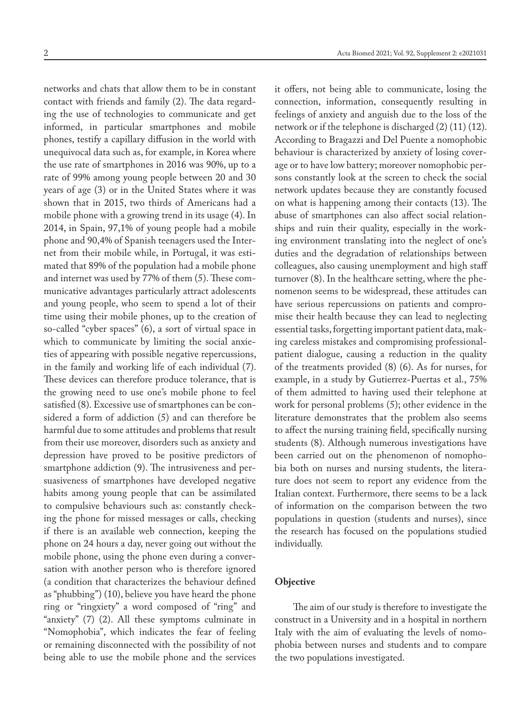networks and chats that allow them to be in constant contact with friends and family (2). The data regarding the use of technologies to communicate and get informed, in particular smartphones and mobile phones, testify a capillary diffusion in the world with unequivocal data such as, for example, in Korea where the use rate of smartphones in 2016 was 90%, up to a rate of 99% among young people between 20 and 30 years of age (3) or in the United States where it was shown that in 2015, two thirds of Americans had a mobile phone with a growing trend in its usage (4). In 2014, in Spain, 97,1% of young people had a mobile phone and 90,4% of Spanish teenagers used the Internet from their mobile while, in Portugal, it was estimated that 89% of the population had a mobile phone and internet was used by 77% of them (5). These communicative advantages particularly attract adolescents and young people, who seem to spend a lot of their time using their mobile phones, up to the creation of so-called "cyber spaces" (6), a sort of virtual space in which to communicate by limiting the social anxieties of appearing with possible negative repercussions, in the family and working life of each individual (7). These devices can therefore produce tolerance, that is the growing need to use one's mobile phone to feel satisfied (8). Excessive use of smartphones can be considered a form of addiction (5) and can therefore be harmful due to some attitudes and problems that result from their use moreover, disorders such as anxiety and depression have proved to be positive predictors of smartphone addiction (9). The intrusiveness and persuasiveness of smartphones have developed negative habits among young people that can be assimilated to compulsive behaviours such as: constantly checking the phone for missed messages or calls, checking if there is an available web connection, keeping the phone on 24 hours a day, never going out without the mobile phone, using the phone even during a conversation with another person who is therefore ignored (a condition that characterizes the behaviour defined as "phubbing") (10), believe you have heard the phone ring or "ringxiety" a word composed of "ring" and "anxiety" (7) (2). All these symptoms culminate in "Nomophobia", which indicates the fear of feeling or remaining disconnected with the possibility of not being able to use the mobile phone and the services

it offers, not being able to communicate, losing the connection, information, consequently resulting in feelings of anxiety and anguish due to the loss of the network or if the telephone is discharged (2) (11) (12). According to Bragazzi and Del Puente a nomophobic behaviour is characterized by anxiety of losing coverage or to have low battery; moreover nomophobic persons constantly look at the screen to check the social network updates because they are constantly focused on what is happening among their contacts (13). The abuse of smartphones can also affect social relationships and ruin their quality, especially in the working environment translating into the neglect of one's duties and the degradation of relationships between colleagues, also causing unemployment and high staff turnover (8). In the healthcare setting, where the phenomenon seems to be widespread, these attitudes can have serious repercussions on patients and compromise their health because they can lead to neglecting essential tasks, forgetting important patient data, making careless mistakes and compromising professionalpatient dialogue, causing a reduction in the quality of the treatments provided (8) (6). As for nurses, for example, in a study by Gutierrez-Puertas et al., 75% of them admitted to having used their telephone at work for personal problems (5); other evidence in the literature demonstrates that the problem also seems to affect the nursing training field, specifically nursing students (8). Although numerous investigations have been carried out on the phenomenon of nomophobia both on nurses and nursing students, the literature does not seem to report any evidence from the Italian context. Furthermore, there seems to be a lack of information on the comparison between the two populations in question (students and nurses), since the research has focused on the populations studied individually.

#### **Objective**

The aim of our study is therefore to investigate the construct in a University and in a hospital in northern Italy with the aim of evaluating the levels of nomophobia between nurses and students and to compare the two populations investigated.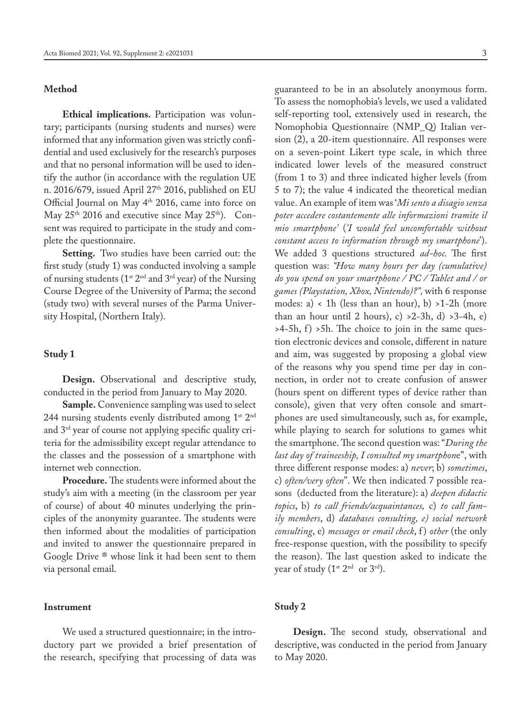## **Method**

**Ethical implications.** Participation was voluntary; participants (nursing students and nurses) were informed that any information given was strictly confidential and used exclusively for the research's purposes and that no personal information will be used to identify the author (in accordance with the regulation UE n. 2016/679, issued April 27<sup>th</sup> 2016, published on EU Official Journal on May 4<sup>th</sup> 2016, came into force on May  $25<sup>th</sup>$  2016 and executive since May  $25<sup>th</sup>$ ). Consent was required to participate in the study and complete the questionnaire.

**Setting.** Two studies have been carried out: the first study (study 1) was conducted involving a sample of nursing students ( $1^{st}$   $2^{nd}$  and  $3^{rd}$  year) of the Nursing Course Degree of the University of Parma; the second (study two) with several nurses of the Parma University Hospital, (Northern Italy).

#### **Study 1**

**Design.** Observational and descriptive study, conducted in the period from January to May 2020.

**Sample.** Convenience sampling was used to select 244 nursing students evenly distributed among 1st 2<sup>nd</sup> and 3rd year of course not applying specific quality criteria for the admissibility except regular attendance to the classes and the possession of a smartphone with internet web connection.

**Procedure.** The students were informed about the study's aim with a meeting (in the classroom per year of course) of about 40 minutes underlying the principles of the anonymity guarantee. The students were then informed about the modalities of participation and invited to answer the questionnaire prepared in Google Drive ® whose link it had been sent to them via personal email.

#### **Instrument**

We used a structured questionnaire; in the introductory part we provided a brief presentation of the research, specifying that processing of data was

guaranteed to be in an absolutely anonymous form. To assess the nomophobia's levels, we used a validated self-reporting tool, extensively used in research, the Nomophobia Questionnaire (NMP\_Q) Italian version (2), a 20-item questionnaire. All responses were on a seven-point Likert type scale, in which three indicated lower levels of the measured construct (from 1 to 3) and three indicated higher levels (from 5 to 7); the value 4 indicated the theoretical median value. An example of item was '*Mi sento a disagio senza poter accedere costantemente alle informazioni tramite il mio smartphone'* (*'I would feel uncomfortable without constant access to information through my smartphone*'). We added 3 questions structured *ad-hoc.* The first question was: *"How many hours per day (cumulative) do you spend on your smartphone / PC / Tablet and / or games (Playstation, Xbox, Nintendo)?",* with 6 response modes: a) < 1h (less than an hour), b) >1-2h (more than an hour until 2 hours), c)  $>2-3h$ , d)  $>3-4h$ , e)  $>4-5h$ , f)  $>5h$ . The choice to join in the same question electronic devices and console, different in nature and aim, was suggested by proposing a global view of the reasons why you spend time per day in connection, in order not to create confusion of answer (hours spent on different types of device rather than console), given that very often console and smartphones are used simultaneously, such as, for example, while playing to search for solutions to games whit the smartphone. The second question was: "*During the last day of traineeship, I consulted my smartphon*e", with three different response modes: a) *never*; b) *sometimes*, c) *often/very often*". We then indicated 7 possible reasons (deducted from the literature): a) *deepen didactic topics*, b) *to call friends/acquaintances,* c) *to call family members*, d) *databases consulting, e) social network consulting*, e) *messages or email check*, f ) *other* (the only free-response question, with the possibility to specify the reason). The last question asked to indicate the year of study  $(1^{st} 2^{nd}$  or  $3^{rd})$ .

## **Study 2**

**Design.** The second study, observational and descriptive, was conducted in the period from January to May 2020.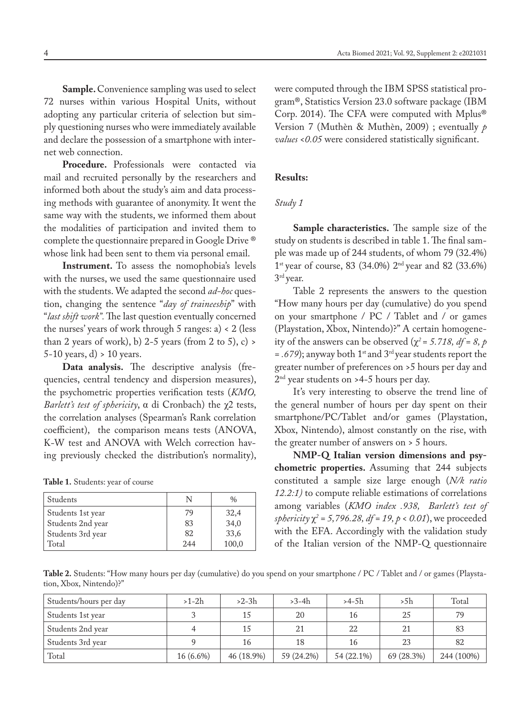**Sample.** Convenience sampling was used to select 72 nurses within various Hospital Units, without adopting any particular criteria of selection but simply questioning nurses who were immediately available and declare the possession of a smartphone with internet web connection.

Procedure. Professionals were contacted via mail and recruited personally by the researchers and informed both about the study's aim and data processing methods with guarantee of anonymity. It went the same way with the students, we informed them about the modalities of participation and invited them to complete the questionnaire prepared in Google Drive ® whose link had been sent to them via personal email.

**Instrument.** To assess the nomophobia's levels with the nurses, we used the same questionnaire used with the students. We adapted the second *ad-hoc* question, changing the sentence "*day of traineeship*" with "*last shift work".* The last question eventually concerned the nurses' years of work through  $5$  ranges: a) <  $2$  (less than 2 years of work), b) 2-5 years (from 2 to 5), c)  $>$ 5-10 years, d) > 10 years.

**Data analysis.** The descriptive analysis (frequencies, central tendency and dispersion measures), the psychometric properties verification tests (*KMO, Barlett's test of sphericity*, α di Cronbach) the χ2 tests, the correlation analyses (Spearman's Rank correlation coefficient), the comparison means tests (ANOVA, K-W test and ANOVA with Welch correction having previously checked the distribution's normality),

**Table 1.** Students: year of course

| Students          |      | $\frac{0}{0}$    |
|-------------------|------|------------------|
| Students 1st year | 79   |                  |
| Students 2nd year | 83   | $32,4$<br>$34,0$ |
| Students 3rd year | 82   | 33,6             |
| Total             | 2.44 | 100,0            |

were computed through the IBM SPSS statistical program®, Statistics Version 23.0 software package (IBM Corp. 2014). The CFA were computed with Mplus® Version 7 (Muthèn & Muthèn, 2009) ; eventually *p values <0.05* were considered statistically significant.

## **Results:**

#### *Study 1*

**Sample characteristics.** The sample size of the study on students is described in table 1. The final sample was made up of 244 students, of whom 79 (32.4%)  $1^{\text{st}}$  year of course, 83 (34.0%)  $2^{\text{nd}}$  year and 82 (33.6%) 3rd year.

Table 2 represents the answers to the question "How many hours per day (cumulative) do you spend on your smartphone / PC / Tablet and / or games (Playstation, Xbox, Nintendo)?" A certain homogeneity of the answers can be observed ( $\chi^2$  = 5.718, df = 8, p *= .679*); anyway both 1st and 3rd year students report the greater number of preferences on >5 hours per day and 2nd year students on >4-5 hours per day.

It's very interesting to observe the trend line of the general number of hours per day spent on their smartphone/PC/Tablet and/or games (Playstation, Xbox, Nintendo), almost constantly on the rise, with the greater number of answers on > 5 hours.

**NMP-Q Italian version dimensions and psychometric properties.** Assuming that 244 subjects constituted a sample size large enough (*N/k ratio 12.2:1)* to compute reliable estimations of correlations among variables (*KMO index .938, Barlett's test of sphericity*  $\chi^2$  = 5,796.28, *df* = 19, *p* < 0.01), we proceeded with the EFA. Accordingly with the validation study of the Italian version of the NMP-Q questionnaire

**Table 2.** Students: "How many hours per day (cumulative) do you spend on your smartphone / PC / Tablet and / or games (Playstation, Xbox, Nintendo)?"

| Students/hours per day | $>1-2h$     | $>2-3h$    | $>3-4h$    | $>4-5h$    | >5h        | Total      |
|------------------------|-------------|------------|------------|------------|------------|------------|
| Students 1st year      |             | 15         | 20         | 16         | 25         | 79         |
| Students 2nd year      |             | 1.5        | 21         | 22         | 21         | 83         |
| Students 3rd year      |             | 16         | 18         | 16         | 23         | 82         |
| Total                  | $16(6.6\%)$ | 46 (18.9%) | 59 (24.2%) | 54 (22.1%) | 69 (28.3%) | 244 (100%) |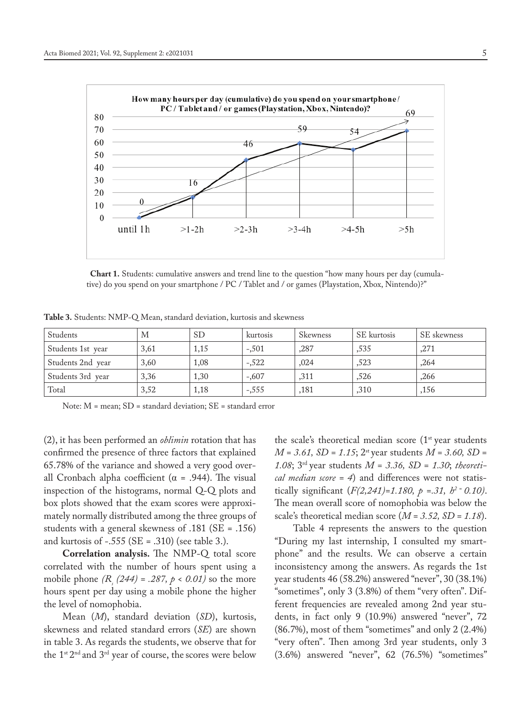

 **Chart 1.** Students: cumulative answers and trend line to the question "how many hours per day (cumulative) do you spend on your smartphone / PC / Tablet and / or games (Playstation, Xbox, Nintendo)?"

| <b>Table 3.</b> Students: NMP-Q Mean, standard deviation, kurtosis and skewness |  |
|---------------------------------------------------------------------------------|--|
|---------------------------------------------------------------------------------|--|

| Students          | M    | SD.  | kurtosis | <b>Skewness</b> | SE kurtosis | SE skewness |
|-------------------|------|------|----------|-----------------|-------------|-------------|
| Students 1st year | 3,61 | 1,15 | $-.501$  | ,287            | .535        | ,271        |
| Students 2nd year | 3,60 | 1,08 | $-.522$  | .024            | ,523        | ,264        |
| Students 3rd year | 3,36 | 1,30 | $-.607$  | ,311            | ,526        | ,266        |
| Total             | 3,52 | 1,18 | $-.555$  | ,181            | ,310        | ,156        |

Note: M = mean; SD = standard deviation; SE = standard error

(2), it has been performed an *oblimin* rotation that has confirmed the presence of three factors that explained 65.78% of the variance and showed a very good overall Cronbach alpha coefficient ( $\alpha$  = .944). The visual inspection of the histograms, normal Q-Q plots and box plots showed that the exam scores were approximately normally distributed among the three groups of students with a general skewness of .181 (SE = .156) and kurtosis of -.555 (SE = .310) (see table 3.).

**Correlation analysis.** The NMP-Q total score correlated with the number of hours spent using a mobile phone  $(R_s (244) = .287, p < 0.01)$  so the more hours spent per day using a mobile phone the higher the level of nomophobia.

Mean (*M*), standard deviation (*SD*), kurtosis, skewness and related standard errors (*SE*) are shown in table 3. As regards the students, we observe that for the 1st 2nd and 3rd year of course, the scores were below the scale's theoretical median score (1<sup>st</sup> year students *M = 3.61, SD = 1.15*; 2st year students *M = 3.60, SD = 1.08*; 3rd year students *M = 3.36, SD = 1.30*; *theoretical median score = 4*) and differences were not statistically significant (*F(2,241)=1.180, p =.31, h2 = 0.10)*. The mean overall score of nomophobia was below the scale's theoretical median score (*M = 3.52, SD = 1.18*).

Table 4 represents the answers to the question "During my last internship, I consulted my smartphone" and the results. We can observe a certain inconsistency among the answers. As regards the 1st year students 46 (58.2%) answered "never", 30 (38.1%) "sometimes", only 3 (3.8%) of them "very often". Different frequencies are revealed among 2nd year students, in fact only 9 (10.9%) answered "never", 72 (86.7%), most of them "sometimes" and only 2 (2.4%) "very often". Then among 3rd year students, only 3 (3.6%) answered "never", 62 (76.5%) "sometimes"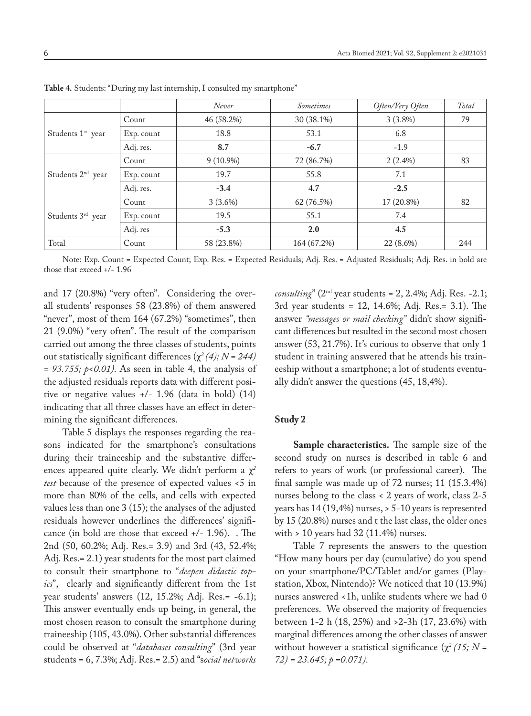|                               |            | Never       | <i>Sometimes</i> | Often/Very Often | Total |
|-------------------------------|------------|-------------|------------------|------------------|-------|
|                               | Count      | 46 (58.2%)  | 30 (38.1%)       | $3(3.8\%)$       | 79    |
| Students 1 <sup>st</sup> year | Exp. count | 18.8        | 53.1             | 6.8              |       |
|                               | Adj. res.  | 8.7         | $-6.7$           | $-1.9$           |       |
|                               | Count      | $9(10.9\%)$ | 72 (86.7%)       | $2(2.4\%)$       | 83    |
| Students 2 <sup>nd</sup> year | Exp. count | 19.7        | 55.8             | 7.1              |       |
|                               | Adj. res.  | $-3.4$      | 4.7              | $-2.5$           |       |
|                               | Count      | $3(3.6\%)$  | 62 (76.5%)       | 17 (20.8%)       | 82    |
| Students 3rd year             | Exp. count | 19.5        | 55.1             | 7.4              |       |
|                               | Adj. res   | $-5.3$      | 2.0              | 4.5              |       |
| Total                         | Count      | 58 (23.8%)  | 164 (67.2%)      | 22 (8.6%)        | 244   |

**Table 4.** Students: "During my last internship, I consulted my smartphone"

Note: Exp. Count = Expected Count; Exp. Res. = Expected Residuals; Adj. Res. = Adjusted Residuals; Adj. Res. in bold are those that exceed +/- 1.96

and 17 (20.8%) "very often". Considering the overall students' responses 58 (23.8%) of them answered "never", most of them 164 (67.2%) "sometimes", then 21 (9.0%) "very often". The result of the comparison carried out among the three classes of students, points out statistically significant differences (χ*2 (4); N = 244) = 93.755; p<0.01).* As seen in table 4, the analysis of the adjusted residuals reports data with different positive or negative values +/- 1.96 (data in bold) (14) indicating that all three classes have an effect in determining the significant differences.

Table 5 displays the responses regarding the reasons indicated for the smartphone's consultations during their traineeship and the substantive differences appeared quite clearly. We didn't perform a χ*<sup>2</sup> test* because of the presence of expected values <5 in more than 80% of the cells, and cells with expected values less than one 3 (15); the analyses of the adjusted residuals however underlines the differences' significance (in bold are those that exceed +/- 1.96). . The 2nd (50, 60.2%; Adj. Res.= 3.9) and 3rd (43, 52.4%; Adj. Res.= 2.1) year students for the most part claimed to consult their smartphone to "*deepen didactic topics*", clearly and significantly different from the 1st year students' answers (12, 15.2%; Adj. Res.= -6.1); This answer eventually ends up being, in general, the most chosen reason to consult the smartphone during traineeship (105, 43.0%). Other substantial differences could be observed at "*databases consulting*" (3rd year students = 6, 7.3%; Adj. Res.= 2.5) and "s*ocial networks*  *consulting*" (2nd year students = 2, 2.4%; Adj. Res. -2.1; 3rd year students = 12, 14.6%; Adj. Res.= 3.1). The answer *"messages or mail checking"* didn't show significant differences but resulted in the second most chosen answer (53, 21.7%). It's curious to observe that only 1 student in training answered that he attends his traineeship without a smartphone; a lot of students eventually didn't answer the questions (45, 18,4%).

### **Study 2**

**Sample characteristics.** The sample size of the second study on nurses is described in table 6 and refers to years of work (or professional career). The final sample was made up of 72 nurses; 11 (15.3.4%) nurses belong to the class < 2 years of work, class 2-5 years has 14 (19,4%) nurses, > 5-10 years is represented by 15 (20.8%) nurses and t the last class, the older ones with > 10 years had 32 (11.4%) nurses.

Table 7 represents the answers to the question "How many hours per day (cumulative) do you spend on your smartphone/PC/Tablet and/or games (Playstation, Xbox, Nintendo)? We noticed that 10 (13.9%) nurses answered <1h, unlike students where we had 0 preferences. We observed the majority of frequencies between 1-2 h (18, 25%) and >2-3h (17, 23.6%) with marginal differences among the other classes of answer without however a statistical significance (χ*2 (15; N = 72) = 23.645; p =0.071).*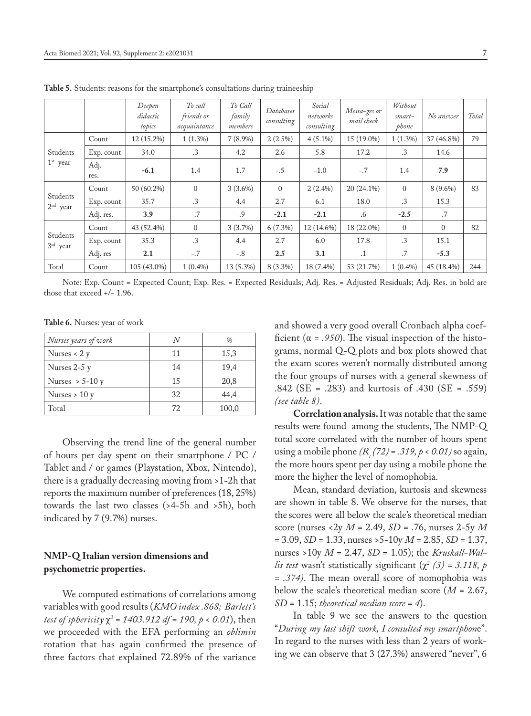|                        |              | Deepen<br>didactic<br>topics | To call<br>friends or<br>acquaintance | To Call<br>family<br>members | Databases<br>consulting | Social<br>networks<br>consulting | Messa-ges or<br>mail check | Without<br>smart-<br>phone | No answer  | Total |
|------------------------|--------------|------------------------------|---------------------------------------|------------------------------|-------------------------|----------------------------------|----------------------------|----------------------------|------------|-------|
|                        | Count        | 12 (15.2%)                   | $1(1.3\%)$                            | $7(8.9\%)$                   | $2(2.5\%)$              | $4(5.1\%)$                       | 15 (19.0%)                 | $1(1.3\%)$                 | 37 (46.8%) | 79    |
| Students               | Exp. count   | 34.0                         | .3                                    | 4.2                          | 2.6                     | 5.8                              | 17.2                       | .3                         | 14.6       |       |
| $1st$ year             | Adj.<br>res. | $-6.1$                       | 1.4                                   | 1.7                          | $-.5$                   | $-1.0$                           | $-.7$                      | 1.4                        | 7.9        |       |
|                        | Count        | 50 (60.2%)                   | $\mathbf{0}$                          | $3(3.6\%)$                   | $\overline{0}$          | $2(2.4\%)$                       | 20 (24.1%)                 | $\Omega$                   | $8(9.6\%)$ | 83    |
| Students<br>$2nd$ year | Exp. count   | 35.7                         | .3                                    | 4.4                          | 2.7                     | 6.1                              | 18.0                       | .3                         | 15.3       |       |
|                        | Adj. res.    | 3.9                          | $-.7$                                 | $-.9$                        | $-2.1$                  | $-2.1$                           | .6                         | $-2.5$                     | $-.7$      |       |
|                        | Count        | 43 (52.4%)                   | $\overline{0}$                        | $3(3.7\%)$                   | $6(7.3\%)$              | 12 (14.6%)                       | 18 (22.0%)                 | $\Omega$                   | $\Omega$   | 82    |
| Students<br>$3rd$ year | Exp. count   | 35.3                         | .3                                    | 4.4                          | 2.7                     | 6.0                              | 17.8                       | .3                         | 15.1       |       |
|                        | Adj. res     | 2.1                          | $-.7$                                 | $-.8$                        | 2.5                     | 3.1                              | $\cdot$ 1                  | .7                         | $-5.3$     |       |
| Total                  | Count        | 105 (43.0%)                  | $1(0.4\%)$                            | 13 (5.3%)                    | 8 (3.3%)                | 18 (7.4%)                        | 53 (21.7%)                 | $1(0.4\%)$                 | 45 (18.4%) | 244   |

**Table 5.** Students: reasons for the smartphone's consultations during traineeship

Note: Exp. Count = Expected Count; Exp. Res. = Expected Residuals; Adj. Res. = Adjusted Residuals; Adj. Res. in bold are those that exceed +/- 1.96.

**Table 6.** Nurses: year of work

| Nurses years of work |    | $\%$  |
|----------------------|----|-------|
| Nurses $< 2 y$       | 11 | 15,3  |
| Nurses $2-5y$        | 14 | 19,4  |
| Nurses $> 5-10y$     | 15 | 20,8  |
| Nurses $> 10 y$      | 32 | 44,4  |
| Total                | 72 | 100,0 |

Observing the trend line of the general number of hours per day spent on their smartphone / PC / Tablet and / or games (Playstation, Xbox, Nintendo), there is a gradually decreasing moving from >1-2h that reports the maximum number of preferences (18, 25%) towards the last two classes (>4-5h and >5h), both indicated by 7 (9.7%) nurses.

# **NMP-Q Italian version dimensions and psychometric properties.**

We computed estimations of correlations among variables with good results (*KMO index .868; Barlett's test of sphericity* χ*<sup>2</sup> = 1403.912 df = 190, p < 0.01*), then we proceeded with the EFA performing an *oblimin* rotation that has again confirmed the presence of three factors that explained 72.89% of the variance

and showed a very good overall Cronbach alpha coefficient ( $\alpha$  = .950). The visual inspection of the histograms, normal Q-Q plots and box plots showed that the exam scores weren't normally distributed among the four groups of nurses with a general skewness of .842 (SE = .283) and kurtosis of .430 (SE = .559) *(see table 8)*.

**Correlation analysis.** It was notable that the same results were found among the students, The NMP-Q total score correlated with the number of hours spent using a mobile phone *(Rs (72) = .319, p < 0.01)* so again, the more hours spent per day using a mobile phone the more the higher the level of nomophobia.

Mean, standard deviation, kurtosis and skewness are shown in table 8. We observe for the nurses, that the scores were all below the scale's theoretical median score (nurses <2y *M* = 2.49, *SD* = .76, nurses 2-5y *M* = 3.09, *SD* = 1.33, nurses >5-10y *M* = 2.85, *SD* = 1.37, nurses >10y *M* = 2.47, *SD* = 1.05); the *Kruskall-Wallis test* wasn't statistically significant  $(\chi^2 / 3) = 3.118$ , p *= .374)*. The mean overall score of nomophobia was below the scale's theoretical median score (*M* = 2.67, *SD* = 1.15; *theoretical median score = 4*).

In table 9 we see the answers to the question "*During my last shift work, I consulted my smartphon*e". In regard to the nurses with less than 2 years of working we can observe that 3 (27.3%) answered "never", 6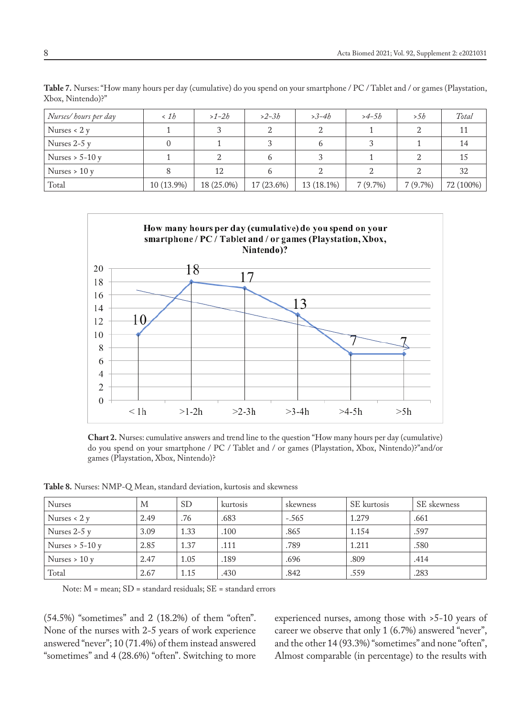| Nurses/hours per day | $\langle 1h$ | $>1-2b$    | $>2-3b$    | $>3-4b$    | $>4-5h$    | > 5h    | Total     |
|----------------------|--------------|------------|------------|------------|------------|---------|-----------|
| Nurses $< 2 y$       |              |            |            |            |            |         |           |
| Nurses $2-5y$        |              |            |            | h          |            |         | 14        |
| Nurses $> 5-10y$     |              |            |            |            |            |         | 15        |
| Nurses $> 10y$       |              | 12         |            |            |            |         | 32        |
| Total                | 10 (13.9%)   | 18 (25.0%) | 17 (23.6%) | 13 (18.1%) | $7(9.7\%)$ | 7(9.7%) | 72 (100%) |

**Table 7.** Nurses: "How many hours per day (cumulative) do you spend on your smartphone / PC / Tablet and / or games (Playstation, Xbox, Nintendo)?"



**Chart 2.** Nurses: cumulative answers and trend line to the question "How many hours per day (cumulative) do you spend on your smartphone / PC / Tablet and / or games (Playstation, Xbox, Nintendo)?"and/or games (Playstation, Xbox, Nintendo)?

| <b>Nurses</b>    | М    | <sub>SD</sub> | kurtosis | skewness | SE kurtosis | SE skewness |
|------------------|------|---------------|----------|----------|-------------|-------------|
| Nurses $< 2y$    | 2.49 | .76           | .683     | $-.565$  | 1.279       | .661        |
| Nurses $2-5y$    | 3.09 | 1.33          | .100     | .865     | 1.154       | .597        |
| Nurses $> 5-10y$ | 2.85 | 1.37          | .111     | .789     | 1.211       | .580        |
| Nurses $> 10v$   | 2.47 | 1.05          | .189     | .696     | .809        | .414        |
| Total            | 2.67 | 1.15          | .430     | .842     | .559        | .283        |

**Table 8.** Nurses: NMP-Q Mean, standard deviation, kurtosis and skewness

Note: M = mean; SD = standard residuals; SE = standard errors

(54.5%) "sometimes" and 2 (18.2%) of them "often". None of the nurses with 2-5 years of work experience answered "never"; 10 (71.4%) of them instead answered "sometimes" and 4 (28.6%) "often". Switching to more experienced nurses, among those with >5-10 years of career we observe that only 1 (6.7%) answered "never", and the other 14 (93.3%) "sometimes" and none "often", Almost comparable (in percentage) to the results with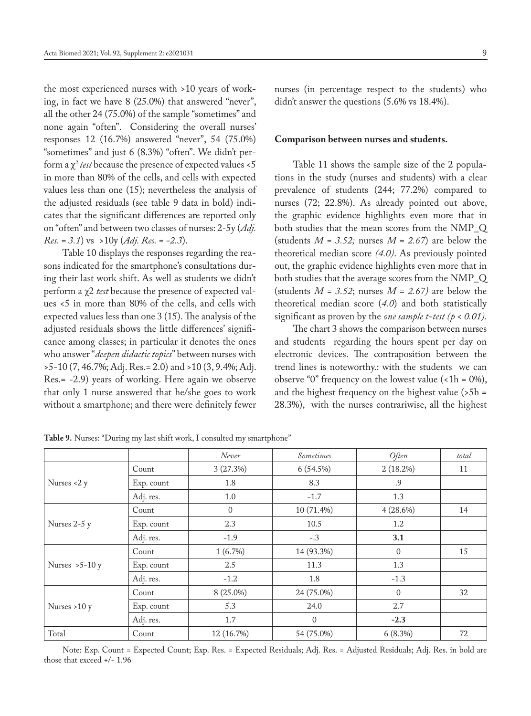the most experienced nurses with >10 years of working, in fact we have 8 (25.0%) that answered "never", all the other 24 (75.0%) of the sample "sometimes" and none again "often". Considering the overall nurses' responses 12 (16.7%) answered "never", 54 (75.0%) "sometimes" and just 6 (8.3%) "often". We didn't perform a χ*<sup>2</sup> test* because the presence of expected values <5 in more than 80% of the cells, and cells with expected values less than one (15); nevertheless the analysis of the adjusted residuals (see table 9 data in bold) indicates that the significant differences are reported only on "often" and between two classes of nurses: 2-5y (*Adj. Res. = 3.1*) vs >10y (*Adj. Res. = -2.3*).

Table 10 displays the responses regarding the reasons indicated for the smartphone's consultations during their last work shift. As well as students we didn't perform a χ2 *test* because the presence of expected values <5 in more than 80% of the cells, and cells with expected values less than one 3 (15). The analysis of the adjusted residuals shows the little differences' significance among classes; in particular it denotes the ones who answer "*deepen didactic topics*" between nurses with >5-10 (7, 46.7%; Adj. Res.= 2.0) and >10 (3, 9.4%; Adj. Res.= -2.9) years of working. Here again we observe that only 1 nurse answered that he/she goes to work without a smartphone; and there were definitely fewer nurses (in percentage respect to the students) who didn't answer the questions (5.6% vs 18.4%).

#### **Comparison between nurses and students.**

Table 11 shows the sample size of the 2 populations in the study (nurses and students) with a clear prevalence of students (244; 77.2%) compared to nurses (72; 22.8%). As already pointed out above, the graphic evidence highlights even more that in both studies that the mean scores from the NMP\_Q (students  $M = 3.52$ ; nurses  $M = 2.67$ ) are below the theoretical median score *(4.0)*. As previously pointed out, the graphic evidence highlights even more that in both studies that the average scores from the NMP\_Q (students  $M = 3.52$ ; nurses  $M = 2.67$ ) are below the theoretical median score (*4.0*) and both statistically significant as proven by the *one sample t-test (p < 0.01).*

The chart 3 shows the comparison between nurses and students regarding the hours spent per day on electronic devices. The contraposition between the trend lines is noteworthy.: with the students we can observe "0" frequency on the lowest value  $(\text{1h} = 0\%),$ and the highest frequency on the highest value  $(5h =$ 28.3%), with the nurses contrariwise, all the highest

|                 |            | Never      | Sometimes      | Often       | total |
|-----------------|------------|------------|----------------|-------------|-------|
|                 | Count      | 3(27.3%)   | 6(54.5%)       | $2(18.2\%)$ | 11    |
| Nurses <2 y     | Exp. count | 1.8        | 8.3            | .9          |       |
|                 | Adj. res.  | 1.0        | $-1.7$         | 1.3         |       |
|                 | Count      | $\Omega$   | 10 (71.4%)     | $4(28.6\%)$ | 14    |
| Nurses 2-5 y    | Exp. count | 2.3        | 10.5           | 1.2         |       |
|                 | Adj. res.  | $-1.9$     | $-.3$          | 3.1         |       |
|                 | Count      | 1(6.7%)    | 14 (93.3%)     | $\Omega$    | 15    |
| Nurses $>5-10y$ | Exp. count | 2.5        | 11.3           | 1.3         |       |
|                 | Adj. res.  | $-1.2$     | 1.8            | $-1.3$      |       |
|                 | Count      | 8 (25.0%)  | 24 (75.0%)     | $\Omega$    | 32    |
| Nurses $>10 y$  | Exp. count | 5.3        | 24.0           | 2.7         |       |
|                 | Adj. res.  | 1.7        | $\overline{0}$ | $-2.3$      |       |
| Total           | Count      | 12 (16.7%) | 54 (75.0%)     | 6(8.3%)     | 72    |

**Table 9.** Nurses: "During my last shift work, I consulted my smartphone"

Note: Exp. Count = Expected Count; Exp. Res. = Expected Residuals; Adj. Res. = Adjusted Residuals; Adj. Res. in bold are those that exceed +/- 1.96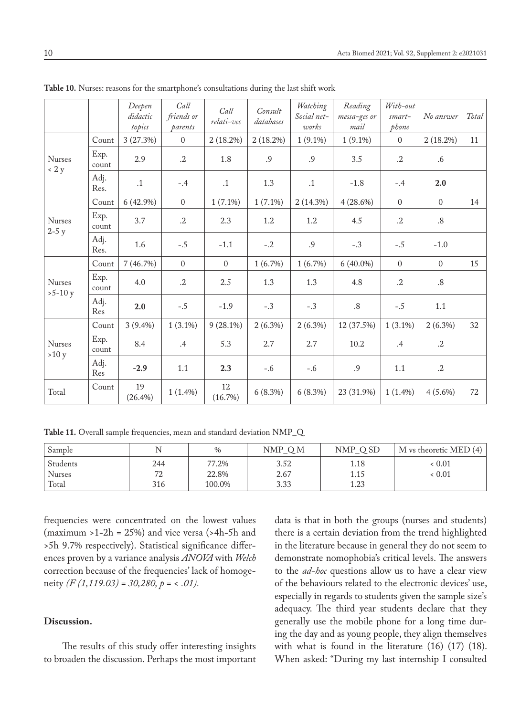|                               |               | Deepen<br>didactic<br>topics | Call<br>friends or<br>parents | Call<br>relati-ves | Consult<br>databases | Watching<br>Social net-<br>works | Reading<br>messa-ges or<br>mail | With-out<br>smart-<br>phone | No answer      | Total |
|-------------------------------|---------------|------------------------------|-------------------------------|--------------------|----------------------|----------------------------------|---------------------------------|-----------------------------|----------------|-------|
|                               | Count         | 3(27.3%)                     | $\Omega$                      | 2(18.2%)           | 2(18.2%)             | $1(9.1\%)$                       | $1(9.1\%)$                      | $\Omega$                    | 2(18.2%)       | 11    |
| <b>Nurses</b><br>$\langle 2y$ | Exp.<br>count | 2.9                          | $\cdot$ .2                    | 1.8                | .9                   | .9                               | 3.5                             | .2                          | .6             |       |
|                               | Adj.<br>Res.  | $\cdot$ 1                    | $-.4$                         | $\cdot$ 1          | 1.3                  | $\cdot$ 1                        | $-1.8$                          | $-.4$                       | 2.0            |       |
|                               | Count         | $6(42.9\%)$                  | $\mathbf{0}$                  | $1(7.1\%)$         | $1(7.1\%)$           | 2(14.3%)                         | 4(28.6%)                        | $\Omega$                    | $\overline{0}$ | 14    |
| <b>Nurses</b>                 | Exp.<br>count | 3.7                          | $\cdot$ .2                    | 2.3                | 1.2                  | 1.2                              | 4.5                             | $\cdot$ .2                  | .8             |       |
| $2-5y$                        | Adj.<br>Res.  | 1.6                          | $-.5$                         | $-1.1$             | $-.2$                | .9                               | $-.3$                           | $-.5$                       | $-1.0$         |       |
|                               | Count         | 7(46.7%)                     | $\Omega$                      | $\Omega$           | $1(6.7\%)$           | 1(6.7%)                          | $6(40.0\%)$                     | $\Omega$                    | $\overline{0}$ | 15    |
| <b>Nurses</b><br>$>5-10y$     | Exp.<br>count | 4.0                          | $\cdot$ .2                    | 2.5                | 1.3                  | 1.3                              | 4.8                             | $\cdot$ .2                  | .8             |       |
|                               | Adj.<br>Res   | 2.0                          | $-.5$                         | $-1.9$             | $-.3$                | $-.3$                            | .8                              | $-.5$                       | 1.1            |       |
|                               | Count         | $3(9.4\%)$                   | $1(3.1\%)$                    | $9(28.1\%)$        | $2(6.3\%)$           | $2(6.3\%)$                       | 12 (37.5%)                      | $1(3.1\%)$                  | $2(6.3\%)$     | 32    |
| <b>Nurses</b><br>>10 y        | Exp.<br>count | 8.4                          | .4                            | 5.3                | 2.7                  | 2.7                              | 10.2                            | $.4\,$                      | $\cdot$ .2     |       |
|                               | Adj.<br>Res   | $-2.9$                       | 1.1                           | 2.3                | $-.6$                | $-.6$                            | .9                              | 1.1                         | $\cdot$ .2     |       |
| Total                         | Count         | 19<br>$(26.4\%)$             | $1(1.4\%)$                    | 12<br>(16.7%)      | 6(8.3%)              | 6(8.3%)                          | 23 (31.9%)                      | $1(1.4\%)$                  | $4(5.6\%)$     | 72    |

**Table 10.** Nurses: reasons for the smartphone's consultations during the last shift work

**Table 11.** Overall sample frequencies, mean and standard deviation NMP\_Q

| Sample        |     | $\%$   | NMP_QM | NMP OSD         | M vs theoretic MED (4) |
|---------------|-----|--------|--------|-----------------|------------------------|
| Students      | 244 | 77.2%  | 3.52   | 1.18            | < 0.01                 |
| <b>Nurses</b> | 70  | 22.8%  | 2.67   | 1.15            | < 0.01                 |
| Total         | 316 | 100.0% | 3.33   | 1 72<br>د، ۱۰ ـ |                        |

frequencies were concentrated on the lowest values (maximum  $>1-2h = 25\%$ ) and vice versa ( $>4h$ -5h and >5h 9.7% respectively). Statistical significance differences proven by a variance analysis *ANOVA* with *Welch* correction because of the frequencies' lack of homogeneity *(F (1,119.03) = 30,280, p =* < *.01).*

# **Discussion.**

The results of this study offer interesting insights to broaden the discussion. Perhaps the most important data is that in both the groups (nurses and students) there is a certain deviation from the trend highlighted in the literature because in general they do not seem to demonstrate nomophobia's critical levels. The answers to the *ad-hoc* questions allow us to have a clear view of the behaviours related to the electronic devices' use, especially in regards to students given the sample size's adequacy. The third year students declare that they generally use the mobile phone for a long time during the day and as young people, they align themselves with what is found in the literature (16) (17) (18). When asked: "During my last internship I consulted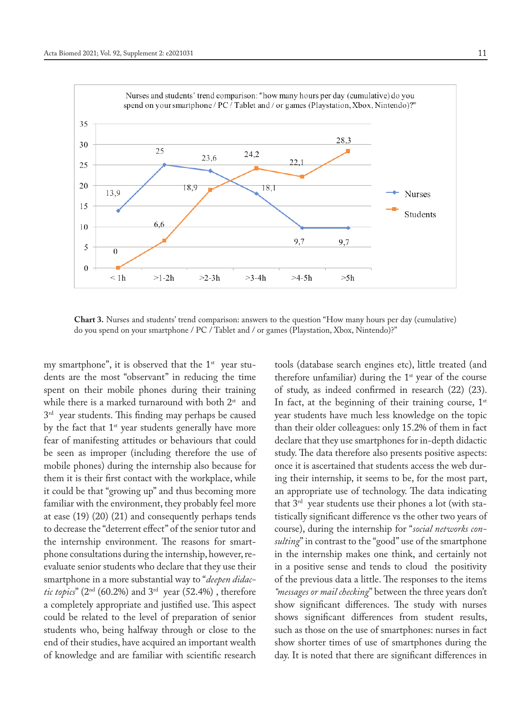

**Chart 3.** Nurses and students' trend comparison: answers to the question "How many hours per day (cumulative) do you spend on your smartphone / PC / Tablet and / or games (Playstation, Xbox, Nintendo)?"

my smartphone", it is observed that the  $1<sup>st</sup>$  year students are the most "observant" in reducing the time spent on their mobile phones during their training while there is a marked turnaround with both  $2^{st}$  and 3<sup>rd</sup> year students. This finding may perhaps be caused by the fact that 1<sup>st</sup> year students generally have more fear of manifesting attitudes or behaviours that could be seen as improper (including therefore the use of mobile phones) during the internship also because for them it is their first contact with the workplace, while it could be that "growing up" and thus becoming more familiar with the environment, they probably feel more at ease (19) (20) (21) and consequently perhaps tends to decrease the "deterrent effect" of the senior tutor and the internship environment. The reasons for smartphone consultations during the internship, however, reevaluate senior students who declare that they use their smartphone in a more substantial way to "*deepen didactic topics*" (2nd (60.2%) and 3rd year (52.4%) , therefore a completely appropriate and justified use. This aspect could be related to the level of preparation of senior students who, being halfway through or close to the end of their studies, have acquired an important wealth of knowledge and are familiar with scientific research

tools (database search engines etc), little treated (and therefore unfamiliar) during the  $1<sup>st</sup>$  year of the course of study, as indeed confirmed in research (22) (23). In fact, at the beginning of their training course,  $1<sup>st</sup>$ year students have much less knowledge on the topic than their older colleagues: only 15.2% of them in fact declare that they use smartphones for in-depth didactic study. The data therefore also presents positive aspects: once it is ascertained that students access the web during their internship, it seems to be, for the most part, an appropriate use of technology. The data indicating that 3rd year students use their phones a lot (with statistically significant difference vs the other two years of course), during the internship for "*social networks consulting*" in contrast to the "good" use of the smartphone in the internship makes one think, and certainly not in a positive sense and tends to cloud the positivity of the previous data a little. The responses to the items *"messages or mail checking*" between the three years don't show significant differences. The study with nurses shows significant differences from student results, such as those on the use of smartphones: nurses in fact show shorter times of use of smartphones during the day. It is noted that there are significant differences in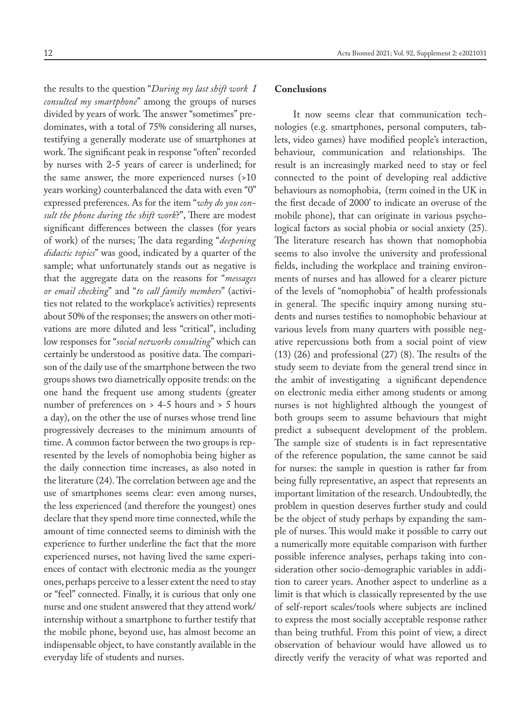the results to the question "*During my last shift work I consulted my smartphone*" among the groups of nurses divided by years of work. The answer "sometimes" predominates, with a total of 75% considering all nurses, testifying a generally moderate use of smartphones at work. The significant peak in response "often" recorded by nurses with 2-5 years of career is underlined; for the same answer, the more experienced nurses (>10 years working) counterbalanced the data with even "0" expressed preferences. As for the item "*why do you consult the phone during the shift work*?", There are modest significant differences between the classes (for years of work) of the nurses; The data regarding "*deepening didactic topics*" was good, indicated by a quarter of the sample; what unfortunately stands out as negative is that the aggregate data on the reasons for "*messages or email checking*" and "*to call family members*" (activities not related to the workplace's activities) represents about 50% of the responses; the answers on other motivations are more diluted and less "critical", including low responses for "*social networks consulting*" which can certainly be understood as positive data. The comparison of the daily use of the smartphone between the two groups shows two diametrically opposite trends: on the one hand the frequent use among students (greater number of preferences on > 4-5 hours and > 5 hours a day), on the other the use of nurses whose trend line progressively decreases to the minimum amounts of time. A common factor between the two groups is represented by the levels of nomophobia being higher as the daily connection time increases, as also noted in the literature (24). The correlation between age and the use of smartphones seems clear: even among nurses, the less experienced (and therefore the youngest) ones declare that they spend more time connected, while the amount of time connected seems to diminish with the experience to further underline the fact that the more experienced nurses, not having lived the same experiences of contact with electronic media as the younger ones, perhaps perceive to a lesser extent the need to stay or "feel" connected. Finally, it is curious that only one nurse and one student answered that they attend work/ internship without a smartphone to further testify that the mobile phone, beyond use, has almost become an indispensable object, to have constantly available in the everyday life of students and nurses.

# **Conclusions**

It now seems clear that communication technologies (e.g. smartphones, personal computers, tablets, video games) have modified people's interaction, behaviour, communication and relationships. The result is an increasingly marked need to stay or feel connected to the point of developing real addictive behaviours as nomophobia, (term coined in the UK in the first decade of 2000' to indicate an overuse of the mobile phone), that can originate in various psychological factors as social phobia or social anxiety (25). The literature research has shown that nomophobia seems to also involve the university and professional fields, including the workplace and training environments of nurses and has allowed for a clearer picture of the levels of "nomophobia" of health professionals in general. The specific inquiry among nursing students and nurses testifies to nomophobic behaviour at various levels from many quarters with possible negative repercussions both from a social point of view (13) (26) and professional (27) (8). The results of the study seem to deviate from the general trend since in the ambit of investigating a significant dependence on electronic media either among students or among nurses is not highlighted although the youngest of both groups seem to assume behaviours that might predict a subsequent development of the problem. The sample size of students is in fact representative of the reference population, the same cannot be said for nurses: the sample in question is rather far from being fully representative, an aspect that represents an important limitation of the research. Undoubtedly, the problem in question deserves further study and could be the object of study perhaps by expanding the sample of nurses. This would make it possible to carry out a numerically more equitable comparison with further possible inference analyses, perhaps taking into consideration other socio-demographic variables in addition to career years. Another aspect to underline as a limit is that which is classically represented by the use of self-report scales/tools where subjects are inclined to express the most socially acceptable response rather than being truthful. From this point of view, a direct observation of behaviour would have allowed us to directly verify the veracity of what was reported and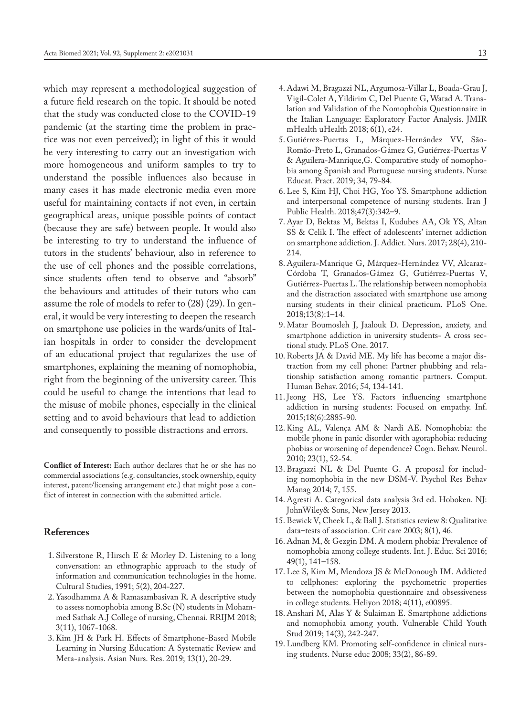which may represent a methodological suggestion of a future field research on the topic. It should be noted that the study was conducted close to the COVID-19 pandemic (at the starting time the problem in practice was not even perceived); in light of this it would be very interesting to carry out an investigation with more homogeneous and uniform samples to try to understand the possible influences also because in many cases it has made electronic media even more useful for maintaining contacts if not even, in certain geographical areas, unique possible points of contact (because they are safe) between people. It would also be interesting to try to understand the influence of tutors in the students' behaviour, also in reference to the use of cell phones and the possible correlations, since students often tend to observe and "absorb" the behaviours and attitudes of their tutors who can assume the role of models to refer to (28) (29). In general, it would be very interesting to deepen the research on smartphone use policies in the wards/units of Italian hospitals in order to consider the development of an educational project that regularizes the use of smartphones, explaining the meaning of nomophobia, right from the beginning of the university career. This could be useful to change the intentions that lead to the misuse of mobile phones, especially in the clinical setting and to avoid behaviours that lead to addiction and consequently to possible distractions and errors.

**Conflict of Interest:** Each author declares that he or she has no commercial associations (e.g. consultancies, stock ownership, equity interest, patent/licensing arrangement etc.) that might pose a conflict of interest in connection with the submitted article.

# **References**

- 1. Silverstone R, Hirsch E & Morley D. Listening to a long conversation: an ethnographic approach to the study of information and communication technologies in the home. Cultural Studies, 1991; 5(2), 204-227.
- 2. Yasodhamma A & Ramasambasivan R. A descriptive study to assess nomophobia among B.Sc (N) students in Mohammed Sathak A.J College of nursing, Chennai. RRIJM 2018; 3(11), 1067-1068.
- 3. Kim JH & Park H. Effects of Smartphone-Based Mobile Learning in Nursing Education: A Systematic Review and Meta-analysis. Asian Nurs. Res. 2019; 13(1), 20-29.
- 
- 4. Adawi M, Bragazzi NL, Argumosa-Villar L, Boada-Grau J, Vigil-Colet A, Yildirim C, Del Puente G, Watad A. Translation and Validation of the Nomophobia Questionnaire in the Italian Language: Exploratory Factor Analysis. JMIR mHealth uHealth 2018; 6(1), e24.
- 5. Gutiérrez-Puertas L, Márquez-Hernández VV, São-Romão-Preto L, Granados-Gámez G, Gutiérrez-Puertas V & Aguilera-Manrique,G. Comparative study of nomophobia among Spanish and Portuguese nursing students. Nurse Educat. Pract. 2019; 34, 79-84.
- 6. Lee S, Kim HJ, Choi HG, Yoo YS. Smartphone addiction and interpersonal competence of nursing students. Iran J Public Health. 2018;47(3):342–9.
- 7. Ayar D, Bektas M, Bektas I, Kudubes AA, Ok YS, Altan SS & Celik I. The effect of adolescents' internet addiction on smartphone addiction. J. Addict. Nurs. 2017; 28(4), 210- 214.
- 8. Aguilera-Manrique G, Márquez-Hernández VV, Alcaraz-Córdoba T, Granados-Gámez G, Gutiérrez-Puertas V, Gutiérrez-Puertas L. The relationship between nomophobia and the distraction associated with smartphone use among nursing students in their clinical practicum. PLoS One. 2018;13(8):1–14.
- 9. Matar Boumosleh J, Jaalouk D. Depression, anxiety, and smartphone addiction in university students- A cross sectional study. PLoS One. 2017.
- 10. Roberts JA & David ME. My life has become a major distraction from my cell phone: Partner phubbing and relationship satisfaction among romantic partners. Comput. Human Behav. 2016; 54, 134-141.
- 11. Jeong HS, Lee YS. Factors influencing smartphone addiction in nursing students: Focused on empathy. Inf. 2015;18(6):2885-90.
- 12. King AL, Valença AM & Nardi AE. Nomophobia: the mobile phone in panic disorder with agoraphobia: reducing phobias or worsening of dependence? Cogn. Behav. Neurol. 2010; 23(1), 52-54.
- 13. Bragazzi NL & Del Puente G. A proposal for including nomophobia in the new DSM-V. Psychol Res Behav Manag 2014; 7, 155.
- 14. Agresti A. Categorical data analysis 3rd ed. Hoboken. NJ: JohnWiley& Sons, New Jersey 2013.
- 15. Bewick V, Cheek L, & Ball J. Statistics review 8: Qualitative data–tests of association. Crit care 2003; 8(1), 46.
- 16. Adnan M, & Gezgin DM. A modern phobia: Prevalence of nomophobia among college students. Int. J. Educ. Sci 2016; 49(1), 141–158.
- 17. Lee S, Kim M, Mendoza JS & McDonough IM. Addicted to cellphones: exploring the psychometric properties between the nomophobia questionnaire and obsessiveness in college students. Heliyon 2018; 4(11), e00895.
- 18. Anshari M, Alas Y & Sulaiman E. Smartphone addictions and nomophobia among youth. Vulnerable Child Youth Stud 2019; 14(3), 242-247.
- 19. Lundberg KM. Promoting self-confidence in clinical nursing students. Nurse educ 2008; 33(2), 86-89.